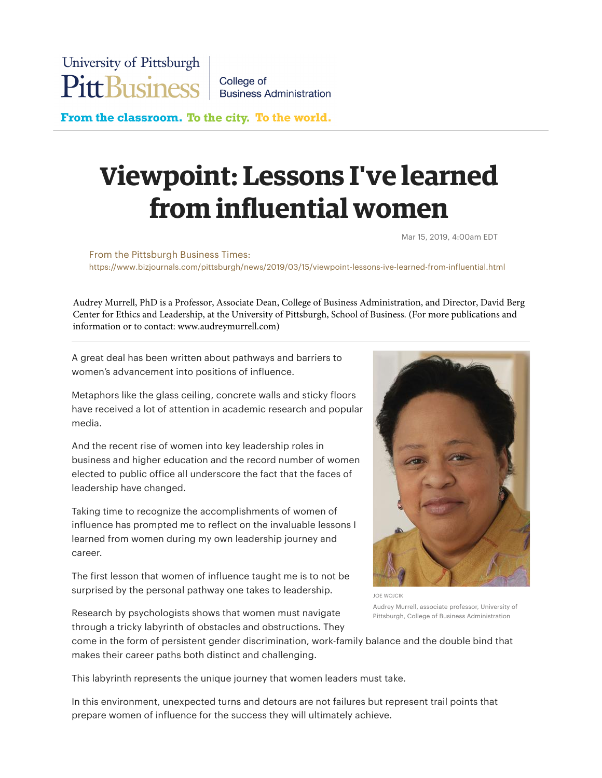College of **Business Administration** 

From the classroom. To the city. To the world.

## Viewpoint: Lessons I've learned from influential women

Mar 15, 2019, 4:00am EDT

From the Pittsburgh Business Times: https://www.bizjournals.com/pittsburgh/news/2019/03/15/viewpoint-lessons-ive-learned-from-influential.html

Audrey Murrell, PhD is a Professor, Associate Dean, College of Business Administration, and Director, David Berg Center for Ethics and Leadership, at the University of Pittsburgh, School of Business. (For more publications and information or to contact: www.audreymurrell.com)

A great deal has been written about pathways and barriers to women's advancement into positions of influence.

Metaphors like the glass ceiling, concrete walls and sticky floors have received a lot of attention in academic research and popular media.

And the recent rise of women into key leadership roles in business and higher education and the record number of women elected to public office all underscore the fact that the faces of leadership have changed.

Taking time to recognize the accomplishments of women of influence has prompted me to reflect on the invaluable lessons I learned from women during my own leadership journey and career.

The first lesson that women of influence taught me is to not be surprised by the personal pathway one takes to leadership.



JOE WOJCIK Audrey Murrell, associate professor, University of Pittsburgh, College of Business Administration

Research by psychologists shows that women must navigate through a tricky labyrinth of obstacles and obstructions. They

come in the form of persistent gender discrimination, work-family balance and the double bind that makes their career paths both distinct and challenging.

This labyrinth represents the unique journey that women leaders must take.

In this environment, unexpected turns and detours are not failures but represent trail points that prepare women of influence for the success they will ultimately achieve.